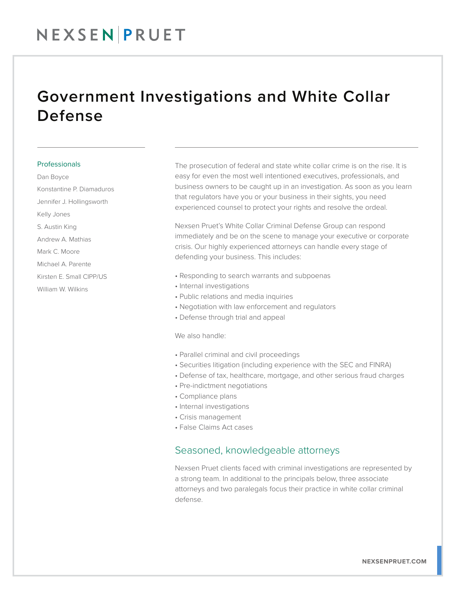## Government Investigations and White Collar Defense

#### Professionals

Dan Boyce Konstantine P. Diamaduros Jennifer J. Hollingsworth Kelly Jones S. Austin King Andrew A. Mathias Mark C. Moore Michael A. Parente Kirsten E. Small CIPP/US William W. Wilkins

The prosecution of federal and state white collar crime is on the rise. It is easy for even the most well intentioned executives, professionals, and business owners to be caught up in an investigation. As soon as you learn that regulators have you or your business in their sights, you need experienced counsel to protect your rights and resolve the ordeal.

Nexsen Pruet's White Collar Criminal Defense Group can respond immediately and be on the scene to manage your executive or corporate crisis. Our highly experienced attorneys can handle every stage of defending your business. This includes:

- Responding to search warrants and subpoenas
- Internal investigations
- Public relations and media inquiries
- Negotiation with law enforcement and regulators
- Defense through trial and appeal

We also handle:

- Parallel criminal and civil proceedings
- Securities litigation (including experience with the SEC and FINRA)
- Defense of tax, healthcare, mortgage, and other serious fraud charges
- Pre-indictment negotiations
- Compliance plans
- Internal investigations
- Crisis management
- False Claims Act cases

### Seasoned, knowledgeable attorneys

Nexsen Pruet clients faced with criminal investigations are represented by a strong team. In additional to the principals below, three associate attorneys and two paralegals focus their practice in white collar criminal defense.